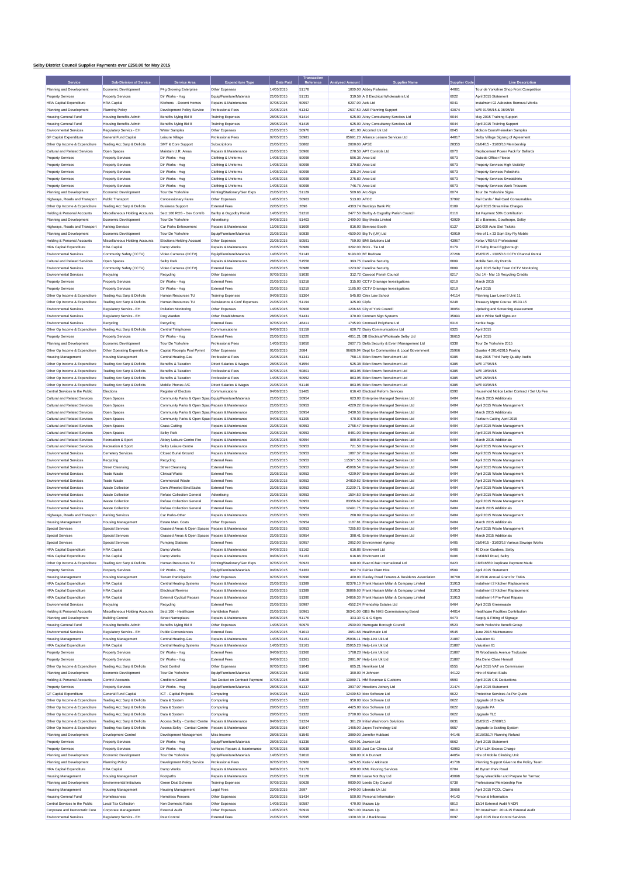## **Selby District Council Supplier Payments over £250.00 for May 2015**

|                                                                | Sub-Division of Service                                 | Service Area                                                                                             | <b>Expenditure Type</b>                                     | Date Paid                |                |                  | <b>Supplier Name</b>                                                                |                |                                                                          |
|----------------------------------------------------------------|---------------------------------------------------------|----------------------------------------------------------------------------------------------------------|-------------------------------------------------------------|--------------------------|----------------|------------------|-------------------------------------------------------------------------------------|----------------|--------------------------------------------------------------------------|
| Planning and Development                                       | Economic Development                                    | P4g Growing Enterprise                                                                                   | Other Expenses                                              | 14/05/2015               | 51178          |                  | 1000.00 Abbey Fisheries                                                             | 44081          | <b>Line Description</b><br>Tour de Yorkshire Shop Front Competition      |
| <b>Property Services</b>                                       | <b>Property Services</b>                                | Dir Works - Hsg                                                                                          | Equip/Furniture/Materials                                   | 21/05/2015               | 51131          |                  | 319.59 A B Electrical Wholesalers Ltd                                               | 6022           | April 2015 Statement                                                     |
| <b>HRA Capital Expenditure</b>                                 | <b>HRA</b> Capital                                      | Kitchens - Decent Homes                                                                                  | Repairs & Maintenance                                       | 07/05/2015               | 50997          | 6297.00 Aels Ltd |                                                                                     | 6041           | Instalment 92 Asbestos Removal Works                                     |
| Planning and Development                                       | Planning Policy                                         | Development Policy Service                                                                               | Professional Fees                                           | 21/05/2015               | 51342          |                  | 2537.50 A&E Planning Support                                                        | 43074          | W/E 01/05/15 & 08/05/15                                                  |
| <b>Housing General Fund</b>                                    | Housing Benefits Admin                                  | Benefits Nybtg Bid 8                                                                                     | <b>Training Expenses</b>                                    | 28/05/2015               | 51414          |                  | 625.00 Airey Consultancy Services Ltd                                               | 6044           | May 2015 Training Support                                                |
| <b>Housing General Fund</b>                                    | <b>Housing Benefits Admin</b>                           | Benefits Nybtg Bid 8                                                                                     | <b>Training Expenses</b>                                    | 28/05/2015               | 51415          |                  | 625.00 Airey Consultancy Services Ltd                                               | 6044           | April 2015 Training Support                                              |
| Environmental Services                                         | Regulatory Servics - EH                                 | Water Samples                                                                                            | Other Expenses                                              | 21/05/2015               | 50976          |                  | 421.90 Alcontrol Uk Ltd                                                             | 6045           | Molson Coors/Heineken Samples                                            |
| <b>GF Capital Expenditure</b>                                  | General Fund Capital                                    | Leisure Village                                                                                          | Professional Fees                                           | 07/05/2015               | 50981          |                  | 85691.20 Alliance Leisure Services Ltd                                              | 44017          | Selhy Village Signing of Agreement                                       |
| Other Op Income & Expenditure                                  | Trading Acc Surp & Deficits                             | SMT & Core Support                                                                                       | Subscriptions                                               | 21/05/2015               | 50802          | 2000.00 APSE     |                                                                                     | 28353          | 01/04/15 - 31/03/16 Membership                                           |
| Cultural and Related Services                                  | Open Spaces                                             | Maintain U.R. Areas                                                                                      | Repairs & Maintenance                                       | 21/05/2015               | 50966          |                  | 278.50 APT Controls Ltd                                                             | 6070           | Replacement Power Pack for Bollards                                      |
| <b>Property Services</b>                                       | <b>Property Services</b>                                | Dir Works - Hsg                                                                                          | Clothing & Uniforms                                         | 14/05/2015               | 50098<br>50098 |                  | 596.36 Arco Ltd                                                                     | 6073           | Outside Officer Fleece                                                   |
| <b>Property Services</b><br><b>Property Services</b>           | <b>Property Services</b><br><b>Property Services</b>    | Dir Works - Hsg<br>Dir Works - Hso                                                                       | Clothing & Uniforms<br>Clothing & Uniforms                  | 14/05/2015<br>14/05/2015 | 50098          |                  | 379.80 Arco Ltd<br>335.24 Arco Ltd                                                  | 6073<br>6073   | Property Services High Visibility<br><b>Property Services Poloshirts</b> |
| <b>Property Services</b>                                       | <b>Property Services</b>                                | Dir Works - Hsg                                                                                          | Clothing & Uniforms                                         | 14/05/2015               | 50098          |                  | 275.80 Arco Ltd                                                                     | 6073           | <b>Property Services Sweatshirts</b>                                     |
| <b>Property Services</b>                                       | <b>Property Services</b>                                | Dir Works - Hsg                                                                                          | Clothing & Uniforms                                         | 14/05/2015               | 50098          |                  | 746.76 Arco Ltd                                                                     | 6073           | Property Services Work Trousers                                          |
| Planning and Development                                       | Economic Development                                    | Tour De Yorkshire                                                                                        | Printing/Stationery/Gen Exps                                | 21/05/2015               | 51129          |                  | 509.66 Arc-Sign                                                                     | 6074           | Tour De Yorkshire Signs                                                  |
| Highways, Roads and Transport                                  | Public Transport                                        | Concessionary Fares                                                                                      | Other Expenses                                              | 14/05/2015               | 50963          | 513.00 ATOC      |                                                                                     | 37992          | Rail Cards / Rail Card Consumables                                       |
| Other On Income & Expenditure                                  | Trading Acc Surp & Deficits                             | <b>Business Support</b>                                                                                  | External Fees                                               | 22/05/2015               | 2696           |                  | 4363.74 Barclays Bank Plc                                                           | 6109           | April 2015 Streamline Charges                                            |
| Holding & Personal Accounts                                    | Miscellaneous Holding Accounts                          | Sect 106 ROS - Dev Contrib                                                                               | Barlby & Osgodby Parish                                     | 14/05/2015               | 51210          |                  | 2477.50 Barlby & Osgodby Parish Council                                             | 6116           | 1st Payment 50% Contribution                                             |
| Planning and Development                                       | Economic Development                                    | Tour De Yorkshire                                                                                        | Advertising                                                 | 04/06/2015               | 51403          |                  | 2490.00 Bay Media Limited                                                           | 43929          | 10 x Banners, Gowthorpe, Selby                                           |
| Highways, Roads and Transport                                  | Parking Services                                        | Car Parks Enforcement                                                                                    | Repairs & Maintenance                                       | 11/06/2015               | 51608          |                  | 816.00 Bemrose Booth                                                                | 6127           | 120.000 Auto Slot Tickets                                                |
| Planning and Development<br>Holding & Personal Accounts        | Economic Development<br>Miscellaneous Holding Accounts  | Tour De Yorkshire<br>Elections Holding Account                                                           | Equip/Furniture/Materials<br>Other Expenses                 | 21/05/2015<br>21/05/2015 | 50839<br>50591 |                  | 4500.00 Big Tv (UK) Ltd<br>759.00 BMI Solutions Ltd                                 | 43919<br>43967 | Hire of 1 x 33 Sqm Sky-Fly Mobile<br>Kofax VRS4.5 Professional           |
| <b>HRA Capital Expenditure</b>                                 | <b>HRA</b> Capital                                      | Damp Works                                                                                               | Repairs & Maintenance                                       | 21/05/2015               | 50989          |                  | 3292.00 Brick - Tie Ltd                                                             | 6179           | 27 Selby Road Eggborough                                                 |
| Environmental Services                                         | Community Safety (CCTV)                                 | Video Cameras (CCTV)                                                                                     | Equip/Furniture/Materials                                   | 14/05/2015               | 51143          |                  | 9193.00 BT Redcare                                                                  | 27268          | 15/05/15 - 13/05/16 CCTV Channel Rental                                  |
| Cultural and Related Services                                  | Open Spaces                                             | Selby Park                                                                                               | Repairs & Maintenance                                       | 28/05/2015               | 51558          |                  | 393.75 Careline Security                                                            | 6809           | Mobile Security Patrols                                                  |
| Environmental Services                                         | Community Safety (CCTV)                                 | Video Cameras (CCTV)                                                                                     | <b>External Fees</b>                                        | 21/05/2015               | 50988          |                  | 1223.07 Careline Security                                                           | 6809           | April 2015 Selby Town CCTV Monitoring                                    |
| Environmental Services                                         | Recycling                                               | Recycling                                                                                                | Other Expenses                                              | 07/05/2015               | 51030          |                  | 312.72 Cawood Parish Council                                                        | 6217           | Oct 14 - Mar 15 Recycling Credits                                        |
| <b>Property Services</b>                                       | <b>Property Services</b>                                | Dir Works - Hsg                                                                                          | <b>External Fees</b>                                        | 21/05/2015               | 51218          |                  | 315.00 CCTV Drainage Investigations                                                 | 6219           | March 2015                                                               |
| <b>Property Services</b>                                       | <b>Property Services</b>                                | Dir Works - Hso                                                                                          | <b>External Fees</b>                                        | 21/05/2015               | 51219          |                  | 1185.00 CCTV Drainage Investigations                                                | 6219           | April 2015                                                               |
| Other Op Income & Expenditure                                  | Trading Acc Surp & Deficits                             | Human Resources TU                                                                                       | <b>Training Expenses</b>                                    | 04/06/2015               | 51304          |                  | 545.83 Cilex Law School                                                             | 44114          | Planning Law Level 6 Unit 11                                             |
| Other Op Income & Expenditure                                  | Trading Acc Surp & Deficits                             | Human Resources TU                                                                                       | Subsistence & Conf Expenses                                 | 21/05/2015               | 51194          | 325.00 Cipfa     |                                                                                     | 6248           | Treasury Mgmt Course 05.03.15                                            |
| Environmental Services                                         | Regulatory Servics - EH                                 | Pollution Monitoring                                                                                     | Other Expenses                                              | 14/05/2015               | 50908          |                  | 1206.66 City of York Council                                                        | 38054          | Updating and Screening Assessment                                        |
| Environmental Services<br>Environmental Services               | Regulatory Servics - EH                                 | Dog Warden                                                                                               | Other Establishments<br><b>External Fees</b>                | 28/05/2015<br>07/05/2015 | 51431<br>48411 |                  | 370.00 Contract Sign Systems<br>1745 90 Cromwell Polythene Ltd                      | 35893<br>6316  | 100 x White Self Signs etc<br>Kerbie Bags                                |
| Other On Income & Expenditure                                  | Recycling<br>Trading Acc Surp & Deficits                | Recycling<br>Central Telephones                                                                          | Communications                                              | 04/06/2015               | 51159          |                  | 620.72 Daisy Communications Ltd                                                     | 6325           | April 2015                                                               |
| <b>Property Services</b>                                       | <b>Property Services</b>                                | Dir Works - Hsg                                                                                          | <b>External Fees</b>                                        | 21/05/2015               | 51220          |                  | 4051.21 DB Electrical Wholesale Selby Ltd                                           | 36613          | April 2015                                                               |
| Planning and Development                                       | Economic Development                                    | Tour De Yorkshire                                                                                        | Professional Fees                                           | 14/05/2015               | 51050          |                  | 2607.75 Delta Security & Event Management Ltd.                                      | 6338           | Tour De Yorkshire 2015                                                   |
| Other Op Income & Expenditure                                  | Other Operating Expenditure                             | Capital Receipts Pool Pymnt                                                                              | Other Expenses                                              | 01/05/2015               | 2684           |                  | 96626.94 Dept for Communities & Local Government                                    | 25966          | Quarter 4 2014/2015 Pooling                                              |
| <b>Housing Management</b>                                      | <b>Housing Management</b>                               | Central Heating-Gas                                                                                      | Professional Fees                                           | 21/05/2015               | 51341          |                  | 758.16 Eden Brown Recruitment Ltd                                                   | 6385           | May 2015 Third Party Quality Audits                                      |
| Other Op Income & Expenditure                                  | Trading Acc Surp & Deficits                             | Benefits & Taxation                                                                                      | Direct Salaries & Wages                                     | 28/05/2015               | 51554          |                  | 525.38 Eden Brown Recruitment Ltd                                                   | 6385           | W/E 17/05/15                                                             |
| Other Op Income & Expenditure                                  | Trading Acc Surp & Deficits                             | Benefits & Taxation                                                                                      | <b>Professional Fees</b>                                    | 07/05/2015               | 50801          |                  | 863.95 Eden Brown Recruitment Ltd                                                   | 6385           | W/E 19/04/15                                                             |
| Other Op Income & Expenditure                                  | Trading Acc Surp & Deficits                             | Benefits & Taxation                                                                                      | <b>Professional Fees</b>                                    | 14/05/2015               | 50952          |                  | 863.95 Eden Brown Recruitment Ltd                                                   | 6385           | W/E 26/04/15                                                             |
| Other Op Income & Expenditure                                  | Trading Acc Surp & Deficits                             | Mobile Phones A/C                                                                                        | Direct Salaries & Wages                                     | 21/05/2015               | 51146          |                  | 863.95 Eden Brown Recruitment Ltd                                                   | 6385           | W/E 03/05/15                                                             |
| Central Services to the Public                                 | Elections                                               | Register of Electors                                                                                     | Communications                                              | 04/06/2015               | 51405          |                  | 616.40 Electoral Reform Services                                                    | 6390           | Household Notice Letter Contract / Set Up Fee                            |
| Cultural and Related Services                                  | Open Spaces                                             | Community Parks & Open Space Equip/Furniture/Materials                                                   |                                                             | 21/05/2015               | 50954          |                  | 623.00 Enterprise Managed Services Ltd                                              | 6404           | March 2015 Additionals                                                   |
| Cultural and Related Services<br>Cultural and Related Services | Open Spaces<br>Open Spaces                              | Community Parks & Open Space Repairs & Maintenance<br>Community Parks & Open Space Repairs & Maintenance |                                                             | 21/05/2015<br>21/05/2015 | 50953<br>50954 |                  | 4229.22 Enterprise Managed Services Ltd<br>2430.56 Enterprise Managed Services Ltd  | 6404<br>6404   | April 2015 Waste Management<br>March 2015 Additionals                    |
| Cultural and Related Services                                  | Open Spaces                                             | Community Parks & Open SpaceRepairs & Maintenance                                                        |                                                             | 04/06/2015               | 51305          |                  | 470.00 Enterprise Managed Services Ltd                                              | 6404           | Fairburn Cutting April 2015                                              |
| Cultural and Related Services                                  | Open Spaces                                             | <b>Grass Cutting</b>                                                                                     | Repairs & Maintenance                                       | 21/05/2015               | 50953          |                  | 2758.47 Enterprise Managed Services Ltd                                             | 6404           | April 2015 Waste Management                                              |
| Cultural and Related Services                                  | Open Spaces                                             | Selby Park                                                                                               | Repairs & Maintenance                                       | 21/05/2015               | 50953          |                  | 8481.00 Enterprise Managed Services Ltd                                             | 6404           | April 2015 Waste Management                                              |
| Cultural and Related Services                                  | Recreation & Sport                                      | Abbey Leisure Centre Fire                                                                                | Repairs & Maintenance                                       | 21/05/2015               | 50954          |                  | 880.00 Enterprise Managed Services Ltd                                              | 6404           | March 2015 Additionals                                                   |
| Cultural and Related Services                                  | Recreation & Sport                                      | Selby Leisure Centre                                                                                     | Repairs & Maintenance                                       | 21/05/2015               | 50953          |                  | 721.58 Enterprise Managed Services Ltd                                              | 6404           | April 2015 Waste Management                                              |
| Environmental Services                                         | Cemetery Services                                       | Closed Burial Ground                                                                                     | Repairs & Maintenance                                       | 21/05/2015               | 50953          |                  | 1087.37 Enterprise Managed Services Ltd                                             | 6404           | April 2015 Waste Management                                              |
| Environmental Services                                         | Recycling                                               | Recycling                                                                                                | External Fees                                               | 21/05/2015               | 50953          |                  | 115371.53 Enterprise Managed Services Ltd                                           | 6404           | April 2015 Waste Management                                              |
| <b>Environmental Services</b>                                  | <b>Street Cleansing</b>                                 | <b>Street Cleansing</b>                                                                                  | <b>External Fees</b>                                        | 21/05/2015               | 50953          |                  | 45068.54 Enterprise Managed Services Ltd                                            | 6404           | April 2015 Waste Management                                              |
| Environmental Services                                         | Trade Waste                                             | <b>Clinical Waste</b>                                                                                    | <b>External Fees</b>                                        | 21/05/2015               | 50953          |                  | 4209.97 Enterprise Managed Services Ltd                                             | 6404           | April 2015 Waste Management                                              |
| Environmental Services                                         | Trade Waste                                             | Commercial Waste                                                                                         | External Fees                                               | 21/05/2015               | 50953          |                  | 24810.62 Enternrise Managed Services Ltd.                                           | 6404           | April 2015 Waste Management                                              |
| Environmental Services<br><b>Environmental Services</b>        | <b>Waste Collection</b><br><b>Waste Collection</b>      | Dom.Wheeled Bins/Sacks                                                                                   | External Fees                                               | 21/05/2015               | 50953<br>50953 |                  | 21209.71 Enterprise Managed Services Ltd                                            | 6404           | April 2015 Waste Management                                              |
| Environmental Services                                         | <b>Waste Collection</b>                                 | Refuse Collection General<br>Refuse Collection General                                                   | Advertising<br><b>External Fees</b>                         | 21/05/2015<br>21/05/2015 | 50953          |                  | 1594.50 Enterprise Managed Services Ltd<br>83356.62 Enterprise Managed Services Ltd | 6404<br>6404   | April 2015 Waste Management<br>April 2015 Waste Management               |
| Environmental Services                                         | <b>Waste Collection</b>                                 | Refuse Collection General                                                                                | External Fees                                               | 21/05/2015               | 50954          |                  | 12491.75 Enterprise Managed Services Ltd                                            | 6404           | March 2015 Additionals                                                   |
| Highways, Roads and Transport                                  | Parking Services                                        | Car Parks-Other                                                                                          | Repairs & Maintenance                                       | 21/05/2015               | 50953          |                  | 268.09 Enterprise Managed Services Ltd                                              | 6404           | April 2015 Waste Management                                              |
| <b>Housing Management</b>                                      | <b>Housing Management</b>                               | Estate Man Costs                                                                                         | Other Expenses                                              | 21/05/2015               | 50954          |                  | 1187.81 Enterprise Managed Services Ltd                                             | 6404           | March 2015 Additionals                                                   |
| Special Services                                               | Special Services                                        | Grassed Areas & Open Spaces Repairs & Maintenance                                                        |                                                             | 21/05/2015               | 50953          |                  | 7265.80 Enterprise Managed Services Ltd                                             | 6404           | April 2015 Waste Management                                              |
| Special Services                                               | Special Services                                        | Grassed Areas & Open Spaces, Repairs & Maintenance                                                       |                                                             | 21/05/2015               | 50954          |                  | 398.41 Enterprise Managed Services Ltd                                              | 6404           | March 2015 Additionals                                                   |
| <b>Special Services</b>                                        | Special Services                                        | <b>Pumping Stations</b>                                                                                  | <b>External Fees</b>                                        | 21/05/2015               | 50957          |                  | 2052.00 Environment Agency                                                          | 6405           | 01/04/15 - 31/03/16 Various Sewage Works                                 |
| <b>HRA Capital Expenditure</b>                                 | <b>HRA</b> Capital                                      | Damp Works                                                                                               | Repairs & Maintenance                                       | 04/06/2015               | 51162          |                  | 616.86 Envirovent Ltd                                                               | 6406           | 40 Dixon Gardens, Selby                                                  |
| <b>HRA Capital Expenditure</b>                                 | <b>HRA</b> Capital                                      | Damp Works                                                                                               | Repairs & Maintenance                                       | 04/06/2015               | 51163          |                  | 616.86 Envirovent Ltd                                                               | 6406           | 3 Mirkhill Road, Selby                                                   |
| Other Op Income & Expenditure                                  | Trading Acc Surp & Deficits                             | Human Resources TU                                                                                       | Printing/Stationery/Gen Exps                                | 07/05/2015               | 50923          |                  | 640.00 Evac+Chair International Ltd<br>902 74 Fairfax Plant Hire                    | 6423           | CRE16550 Duplicate Payment Made                                          |
| <b>Property Services</b><br><b>Housing Management</b>          | <b>Property Services</b>                                | Dir Works - Hsg                                                                                          | Equip/Furniture/Materials                                   | 04/06/2015               | 51363<br>50996 |                  | 400.00 Flaxley Road Tenants & Residents Association                                 | 6509           | April 2015 Statement<br>2015/16 Annual Grant for TARA                    |
| <b>HRA Capital Expenditure</b>                                 | Housing Management<br><b>HRA</b> Capital                | <b>Tenant Participation</b><br>Central Heating Systems                                                   | Other Expenses<br>Repairs & Maintenance                     | 07/05/2015<br>21/05/2015 | 51389          |                  | 92378.10 Frank Haslam Milan & Company Limited                                       | 30760<br>31913 | Instalment 2 Kitchen Replacement                                         |
| <b>HRA Capital Expenditure</b>                                 | <b>HRA</b> Capital                                      | <b>Electrical Rewires</b>                                                                                | Repairs & Maintenance                                       | 21/05/2015               | 51389          |                  | 36866.60 Frank Haslam Milan & Company Limited                                       | 31913          | Instalment 2 Kitchen Replacement                                         |
| <b>HRA Capital Expenditure</b>                                 | <b>HRA</b> Capital                                      | External Cyclical Repairs                                                                                | Repairs & Maintenance                                       | 21/05/2015               | 51390          |                  | 24856.30 Frank Haslam Milan & Company Limited                                       | 31913          | Instalment 4 Pre-Paint Repairs                                           |
| Environmental Services                                         | Recycling                                               | Recycling                                                                                                | <b>External Fees</b>                                        | 21/05/2015               | 50987          |                  | 4552.24 Friendship Estates Ltd                                                      | 6464           | April 2015 Greenwaste                                                    |
| Holding & Personal Accounts                                    | Miscellaneous Holding Accounts                          | Sect 106 - Healthcare                                                                                    | Hambleton Parish                                            | 21/05/2015               | 50961          |                  | 36341.00 GBS Re NHS Commissioning Board                                             | 44014          | Healthcare Facilities Contribution                                       |
| Planning and Development                                       | <b>Building Control</b>                                 | <b>Street Nameplates</b>                                                                                 | Repairs & Maintenance                                       | 04/06/2015               | 51176          |                  | 303.30 G & G Signs                                                                  | 6473           | Supply & Fitting of Signage                                              |
| <b>Housing General Fund</b>                                    | Housing Benefits Admin                                  | Benefits Nybtg Bid 8                                                                                     | Other Expenses                                              | 14/05/2015               | 50979          |                  | 2500.00 Harrogate Borough Council                                                   | 6523           | North Yorkshire Benefit Group                                            |
| Environmental Services                                         | Regulatory Servics - EH                                 | Public Conveniences                                                                                      | <b>Fxternal Fees</b>                                        | 21/05/2015               | 51013          |                  | 3651.66 Healthmatic Ltd                                                             | 6545           | June 2015 Maintenance                                                    |
| <b>Housing Management</b>                                      | Housing Management                                      | Central Heating-Gas                                                                                      | Repairs & Maintenance                                       | 14/05/2015               | 51161          |                  | 25936.11 Help-Link Uk Ltd                                                           | 21887          | Valuation 61                                                             |
| <b>HRA Capital Expenditure</b>                                 | <b>HRA</b> Capital                                      | Central Heating Systems                                                                                  | Repairs & Maintenance                                       | 14/05/2015               | 51161          |                  | 25915.23 Help-Link Uk Ltd                                                           | 21887          | Valuation 61                                                             |
| <b>Property Services</b>                                       | <b>Property Services</b>                                | Dir Works - Hsg                                                                                          | External Fees<br><b>External Fees</b>                       | 04/06/2015               | 51360          |                  | 1768.20 Help-Link Uk Ltd                                                            | 21887          | 79 Woodlands Avenue Tadcaster                                            |
| <b>Property Services</b><br>Other On Income & Expenditure      | <b>Property Services</b><br>Trading Acc Surp & Deficits | Dir Works - Hsg<br><b>Debt Control</b>                                                                   | Other Expenses                                              | 04/06/2015<br>07/05/2015 | 51361<br>51043 |                  | 2081.97 Help-Link Uk Ltd<br>605.21 Henriksen Ltd                                    | 21887<br>6555  | 24a Dene Close Hensall<br>April 2015 VAT on Commission                   |
| Planning and Development                                       | Economic Development                                    | Tour De Yorkshire                                                                                        | Equip/Furniture/Materials                                   | 28/05/2015               | 51400          |                  | 360.00 H Johnson                                                                    | 44122          | <b>Hire of Market Stalls</b>                                             |
| Holding & Personal Accounts                                    | Control Accounts                                        | <b>Creditors Control</b>                                                                                 | Tax Deduct on Contract Payment                              | 07/05/2015               | 51028          |                  | 13089.71 HM Revenue & Customs                                                       | 6590           | April 2015 CIS Deductions                                                |
| <b>Property Services</b>                                       | <b>Property Services</b>                                | Dir Works - Hsa                                                                                          | Equip/Furniture/Materials                                   | 28/05/2015               | 51337          |                  | 3937.07 Howdens Joinery Ltd                                                         | 21474          | April 2015 Statement                                                     |
| <b>GF Capital Expenditure</b>                                  | General Fund Capital                                    | ICT - Capital Projects                                                                                   | Computing                                                   | 04/06/2015               | 51323          |                  | 12499.50 Idox Software Ltd                                                          | 6622           | Protective Services As Per Quote                                         |
| Other Op Income & Expenditure                                  | Trading Acc Surp & Deficits                             | Data & System                                                                                            | Computing                                                   | 28/05/2015               | 51322          |                  | 950.00 Idox Software Ltd                                                            | 6622           | Upgrade of Oracle                                                        |
| Other Op Income & Expenditure                                  | Trading Acc Surp & Deficits                             | Data & System                                                                                            | Computing                                                   | 28/05/2015               | 51322          |                  | 4425.00 Idox Software Ltd                                                           | 6622           | Upgrade PA                                                               |
| Other Op Income & Expenditure                                  | Trading Acc Surp & Deficits                             | Data & System                                                                                            | Computing                                                   | 28/05/2015               | 51322          |                  | 2700.00 Idox Software Ltd                                                           | 6622           | Upgrade TLC                                                              |
| Other Op Income & Expenditure                                  | Trading Acc Surp & Deficits                             | Access Selby - Contact Centre Repairs & Maintenance                                                      |                                                             | 04/06/2015               | 51224          |                  | 361.29 Initial Washroom Solutions                                                   | 6631           | 25/05/15 - 27/08/15                                                      |
| Other Op Income & Expenditure                                  | Trading Acc Surp & Deficits                             | Access Selby - Contact Centre Repairs & Maintenance                                                      |                                                             | 28/05/2015               | 51047          |                  | 1465.00 Jayex Technology Ltd                                                        | 6657           | Upgrade to Existing System                                               |
| Planning and Development                                       | Development Control                                     | Development Management                                                                                   | Misc Income                                                 | 28/05/2015               | 51540          |                  | 3080.00 Jennifer Hubbard                                                            | 44146          | 2015/0517/ Planning Refund                                               |
| Property Services                                              | <b>Property Services</b>                                | Dir Works - Hsg                                                                                          | Equip/Furniture/Materials                                   | 28/05/2015               | 51336          |                  | 4294.91 Jewson Ltd                                                                  | 6662           | April 2015 Statement                                                     |
| <b>Property Services</b><br>Planning and Development           | <b>Property Services</b><br>Economic Development        | Dir Works - Hsg<br>Tour De Yorkshire                                                                     | Vehicles Repairs & Maintenance<br>Equip/Furniture/Materials | 07/05/2015<br>14/05/2015 | 50638<br>51010 |                  | 500.00 Just Car Clinics Ltd<br>590.00 K A Dunnett                                   | 43983<br>44054 | LP14 LJK Excess Charge<br>Hire of Mobile Climbing Unit                   |
| Planning and Development                                       | Planning Policy                                         | Development Policy Service                                                                               | Professional Fees                                           | 07/05/2015               | 50960          |                  | 1475.85 Katie V Atkinson                                                            | 41708          | Planning Support Given to the Policy Team                                |
| <b>HRA Capital Expenditure</b>                                 | <b>HRA</b> Capital                                      | Damp Works                                                                                               | Repairs & Maintenance                                       | 04/06/2015               | 51170          |                  | 650.00 KML Flooring Services                                                        | 6704           | 48 Byram Park Road                                                       |
| <b>Housing Management</b>                                      | Housing Management                                      | Footpaths                                                                                                | Repairs & Maintenance                                       | 21/05/2015               | 51128          |                  | 290.00 Lease Not Buy Ltd                                                            | 43098          | Spray Weedkiller and Prepare for Tarmac                                  |
| Planning and Development                                       | Environmental Initiatives                               | Green Deal Scheme                                                                                        | <b>Training Expenses</b>                                    | 07/05/2015               | 50628          |                  | 9030.00 Leeds City Council                                                          | 6738           | Professional Membership Fee                                              |
| Housing Management                                             | <b>Housing Management</b>                               | <b>Housing Management</b>                                                                                | Legal Fees                                                  | 22/05/2015               | 2697           |                  | 2440.00 Liberata Uk Ltd                                                             | 36656          | April 2015 PCOL Claims                                                   |
| Housing General Fund                                           | Homelessness                                            | <b>Homeless Persons</b>                                                                                  | Other Expenses                                              | 21/05/2015               | 51434          |                  | 500.00 Personal Information                                                         | 44143          | Personal Information                                                     |
| Central Services to the Public                                 | Local Tax Collection                                    | Non Domestic Rates                                                                                       | Other Expenses                                              | 14/05/2015               | 50587          |                  | 470.00 Mazars Lip                                                                   | 6810           | 13/14 External Audit NNDR                                                |
| Corporate and Democratic Core                                  | Corporate Management                                    | External Audit                                                                                           | Other Expenses                                              | 14/05/2015               | 50919          |                  | 5871.00 Mazars Lip                                                                  | 6810           | 7th Instalment 2014-15 External Audit                                    |
| Environmental Services                                         | Regulatory Servics - EH                                 | Pest Control                                                                                             | <b>External Fees</b>                                        | 21/05/2015               | 50595          |                  | 1300.38 M J Backhouse                                                               | 6097           | April 2015 Pest Control Services                                         |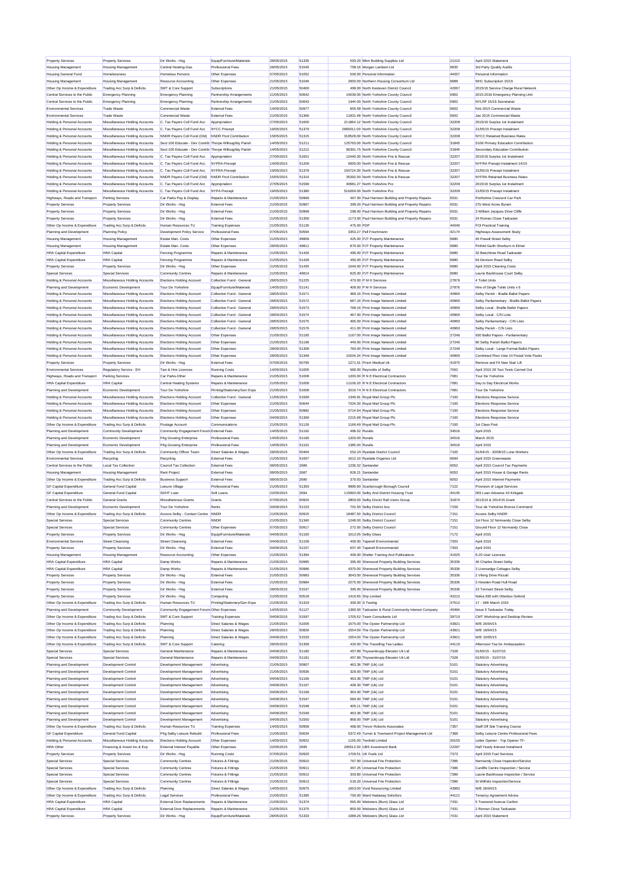| Property Services                                          | <b>Property Services</b>                       | Dir Works - Hsg                                         | Equip/Furniture/Materials                          | 28/05/2015               | 51335          |                 | 593.20 Mkm Building Supplies Ltd                                      | 21210         | April 2015 Statement                            |
|------------------------------------------------------------|------------------------------------------------|---------------------------------------------------------|----------------------------------------------------|--------------------------|----------------|-----------------|-----------------------------------------------------------------------|---------------|-------------------------------------------------|
| <b>Housing Management</b>                                  | <b>Housing Management</b>                      | Central Heating-Gas                                     | Professional Fees                                  | 28/05/2015               | 51545          |                 | 758.16 Morgan Lambert Ltd                                             | 6835          | 3rd Party Quality Audits                        |
| Housing General Fund                                       | Homelessness                                   | Homeless Persons                                        | Other Expenses                                     | 07/05/2015               | 51052          |                 | 500.00 Personal Information                                           | 44057         | Personal Information                            |
| <b>Housing Management</b>                                  | <b>Housing Management</b>                      | Resource Accounting                                     | Other Expenses                                     | 21/05/2015               | 51046          |                 | 2000.00 Northern Housing Consortium Ltd                               | 6888          | NHC Subscription 15/16                          |
| Other Op Income & Expenditure                              | Trading Acc Surp & Deficits                    | SMT & Core Support                                      | Subscriptions                                      | 21/05/2015               | 50400          |                 | 499.00 North Kesteven District Council                                | 42067         | 2015/16 Service Charge Rural Network            |
| Central Services to the Public                             | Emergency Planning                             | Emergency Planning                                      | Partnership Arrangements                           | 21/05/2015               | 50642          |                 | 14039.00 North Yorkshire County Council                               | 6902          | 2015-2016 Emergency Planning Unit               |
| Central Services to the Public                             | Emergency Planning                             | <b>Emergency Planning</b>                               | Partnership Arrangements                           | 21/05/2015               | 50643          |                 | 1444.00 North Yorkshire County Council                                | 6902          | NYLRF 15/16 Secretarial                         |
| <b>Environmental Services</b>                              | <b>Trade Waste</b>                             | Commercial Waste                                        | External Fees                                      | 14/05/2015               | 50977          |                 | 855.58 North Yorkshire County Council                                 | 6902          | Feb 2015 Commercial Waste                       |
| Environmental Services                                     | <b>Trade Waste</b>                             | Commercial Waste                                        | <b>External Fees</b>                               | 21/05/2015               | 51366          |                 | 11831.48 North Yorkshire County Council                               | 6902          | Jan 2015 Commercial Waste                       |
| Holding & Personal Accounts                                | Miscellaneous Holding Accounts                 | C. Tax Pavers Coll Fund Acc                             | Appropriation                                      | 27/05/2015               | 51600          |                 | 211864 12 North Yorkshire County Council                              | 32208         | 2015/16 Surplus 1st Instalment                  |
| Holding & Personal Accounts                                | Miscellaneous Holding Accounts                 | C. Tax Payers Coll Fund Acc                             | NYCC Precept                                       | 19/05/2015               | 51379          |                 | 2669011.00 North Yorkshire County Council                             | 32208         | 21/05/15 Precept Instalment                     |
| Holding & Personal Accounts                                | Miscellaneous Holding Accounts                 | NNDR Payers Coll Fund (Old)                             | NNDR Pool Contribution                             | 15/05/2015               | 51315          |                 | 318528.00 North Yorkshire County Council                              | 32208         | NYCC Retained Business Rates                    |
| Holding & Personal Accounts                                | Miscellaneous Holding Accounts                 | Sect 106 Educate - Dev Contrib Thorpe Willoughby Parish |                                                    | 14/05/2015               | 51211          |                 | 125763.00 North Yorkshire County Counci                               | 31845         | S106 Primary Education Contribution             |
| Holding & Personal Accounts                                | Miscellaneous Holding Accounts                 | Sect 106 Educate - Dev Contrib Thorpe Willoughby Parish |                                                    | 14/05/2015               | 51212          |                 | 96391.75 North Yorkshire County Council                               | 31845         | Secondary Education Contribution                |
| Holding & Personal Accounts                                | Miscellaneous Holding Accounts                 | C. Tax Pavers Coll Fund Acc                             | Appropriation                                      | 27/05/2015               | 51601          |                 | 12440.30 North Yorkshire Fire & Rescue                                | 32207         | 2015/16 Surplus 1st Instalment                  |
| Holding & Personal Accounts                                | Miscellaneous Holding Accounts                 | C. Tax Payers Coll Fund Acc                             | NYFRA Precept                                      | 14/05/2015               | 51209          |                 | 6000.00 North Yorkshire Fire & Rescue                                 | 32207         | NYFRA Precept Instalment 14/15                  |
| Holding & Personal Accounts                                | Miscellaneous Holding Accounts                 | C. Tax Payers Coll Fund Acc                             | NYFRA Precept                                      | 19/05/2015               | 51378          |                 | 156724.00 North Yorkshire Fire & Rescue                               | 32207         | 21/05/15 Precept Instalment                     |
| Holding & Personal Accounts                                | Miscellaneous Holding Accounts                 | NNDR Pavers Coll Fund (Old)                             | NNDR Pool Contribution                             | 15/05/2015               | 51314          |                 | 35392.00 North Yorkshire Fire & Rescue                                | 32207         | <b>NYFRA Retained Business Rates</b>            |
| Holding & Personal Accounts                                | Miscellaneous Holding Accounts                 | C. Tax Payers Coll Fund Acc                             | Appropriation                                      | 27/05/2015               | 51599          |                 | 40981.27 North Yorkshire Pop                                          | 32209         | 2015/16 Surplus 1st Instalment                  |
| Holding & Personal Accounts                                | Miscellaneous Holding Accounts                 | C. Tax Payers Coll Fund Acc                             | NYPA Precept                                       | 19/05/2015               | 51380          |                 | 516269.00 North Yorkshire Pcc                                         | 32209         | 21/05/15 Precent Instalment                     |
| Highways, Roads and Transport                              | Parking Services                               | Car Parks Pay & Display                                 | Repairs & Maintenance                              | 21/05/2015               | 50969          |                 | 467.00 Paul Harrison Building and Property Repairs                    | 6531          | Portholme Crescent Car Park                     |
| Property Services                                          | <b>Property Services</b>                       | Dir Works - Hsg                                         | <b>External Fees</b>                               | 21/05/2015               | 50967          |                 | 399.20 Paul Harrison Building and Property Repairs                    | 6531          | 27b West Acres Byram                            |
| Property Services                                          | <b>Property Services</b>                       | Dir Works - Hsg                                         | <b>External Fees</b>                               | 21/05/2015               | 50968          |                 | 298.00 Paul Harrison Building and Property Repairs                    | 6531          | 3 William Jacques Drive Cliffe                  |
| Property Services                                          | <b>Property Services</b>                       | Dir Works - Hsg                                         | <b>External Fees</b>                               | 21/05/2015               | 51356          |                 | 1173.00 Paul Harrison Building and Property Repairs                   | 6531          | 24 Roman Close Tadcaste                         |
| Other Op Income & Expenditure                              | Trading Acc Surp & Deficits                    | Human Resources TU                                      | <b>Training Expenses</b>                           | 21/05/2015               | 51135          | 475.00 PDF      |                                                                       | 44049         | FOI Practical Training                          |
| Planning and Development                                   | Planning Policy                                | Development Policy Service                              | Professional Fees                                  | 07/05/2015               | 50594          |                 | 3353.27 Pell Frischmann                                               | 42174         | <b>Highways Assessment Study</b>                |
| <b>Housing Management</b>                                  |                                                | Estate Man, Costs                                       | Other Expenses                                     | 21/05/2015               | 49809          |                 | 425.00 PJT Property Maintenance                                       | 6980          | 40 Powell Street Selby                          |
|                                                            | <b>Housing Management</b>                      |                                                         |                                                    |                          | 49811          |                 |                                                                       |               |                                                 |
| <b>Housing Management</b>                                  | <b>Housing Management</b>                      | Estate Man, Costs                                       | Other Expenses                                     | 28/05/2015               |                |                 | 870.00 PJT Property Maintenance                                       | 6980          | Pinfold Garth Sherburn in Elmet                 |
| <b>HRA</b> Capital Expenditure                             | <b>HRA</b> Capital                             | Fencing Programme                                       | Repairs & Maintenance                              | 21/05/2015               | 51426          |                 | 495.00 PJT Property Maintenance                                       | 6980          | 32 Beechtree Road Tadcaste                      |
| <b>HRA Capital Expenditure</b>                             | <b>HRA</b> Canital                             | Fencing Programme                                       | Repairs & Maintenance                              | 21/05/2015               | 51428          |                 | 450.00 PJT Property Maintenance                                       | 6980          | 64 Denison Road Selby                           |
| <b>Property Services</b>                                   | <b>Property Services</b>                       | Dir Works - Hsg                                         | Other Expenses                                     | 21/05/2015               | 51430          |                 | 1040.00 PJT Property Maintenance                                      | 6980          | April 2015 Cleaning Costs                       |
| Special Services                                           | Special Services                               | Community Centres                                       | Repairs & Maintenance                              | 21/05/2015               | 49814          |                 | 825.00 P.IT Property Maintenance                                      | 6980          | Laurie Backhouse Court Selby                    |
| Holding & Personal Accounts                                | Miscellaneous Holding Accounts                 | Elections Holding Account                               | Collection Fund - General                          | 28/05/2015               | 51225          |                 | 470.00 P M H Services                                                 | 27876         | 4 Toilet Units                                  |
| Planning and Development                                   | Economic Development                           | Tour De Yorkshire                                       | Equip/Furniture/Materials                          | 14/05/2015               | 51141          |                 | 408.00 P M H Services                                                 | 27876         | Hire of Single Toilet Units x 6                 |
| Holding & Personal Accounts                                | Miscellaneous Holding Accounts                 | Elections Holding Account                               | Collection Fund - General                          | 28/05/2015               | 51571          |                 | 489.16 Print Image Network Limited                                    | 40960         | Selby Parish - Braille Ballot Papers            |
| Holding & Personal Accounts                                | Miscellaneous Holding Accounts                 | Elections Holding Account                               | Collection Fund - General                          | 28/05/2015               | 51572          |                 | 687.16 Print Image Network Limited                                    | 40960         | Selby Parliamentary - Braille Ballot Papers     |
| Holding & Personal Accounts                                | Miscellaneous Holding Accounts                 | Elections Holding Account                               | Collection Fund - General                          | 28/05/2015               | 51573          |                 | 768.16 Print Image Network Limited                                    | 40960         | Selby Local - Braille Ballot Papers             |
| Holding & Personal Accounts                                | Miscellaneous Holding Accounts                 | <b>Elections Holding Account</b>                        | Collection Fund - General                          | 28/05/2015               | 51574          |                 | 467.00 Print Image Network Limited                                    | 40960         | Selhy Local - C/N Lists                         |
| Holding & Personal Accounts                                | Miscellaneous Holding Accounts                 | Elections Holding Account                               | Collection Fund - General                          | 28/05/2015               | 51575          |                 | 495.00 Print Image Network Limited                                    | 40960         | Selby Parliamentary - C/N Lists                 |
| Holding & Personal Accounts                                | Miscellaneous Holding Accounts                 | Elections Holding Account                               | Collection Fund - General                          | 28/05/2015               | 51576          |                 | 411.00 Print Image Network Limited                                    | 40960         | Selby Parish - C/N Lists                        |
| Holding & Personal Accounts                                | Miscellaneous Holding Accounts                 | Elections Holding Account                               | Other Expenses                                     | 21/05/2015               | 51195          |                 | 1167.00 Print Image Network Limited                                   | 27246         | 930 Ballot Papers - Parliamentary               |
| Holding & Personal Accounts                                | Miscellaneous Holding Accounts                 | <b>Elections Holding Account</b>                        | Other Expenses                                     | 21/05/2015               | 51196          |                 | 449.00 Print Image Network Limited                                    | 27246         | 80 Selby Parish Ballot Papers                   |
| Holding & Personal Accounts                                | Miscellaneous Holding Accounts                 | <b>Elections Holding Account</b>                        | Other Expenses                                     | 28/05/2015               | 51308          |                 | 760.00 Print Image Network Limited                                    | 27246         | Selby Local - Large Format Ballot Papers        |
|                                                            |                                                |                                                         |                                                    |                          |                |                 |                                                                       |               | Combined Flexi Vote 14 Postal Vote Packs        |
| Holding & Personal Accounts                                | Miscellaneous Holding Accounts                 | Elections Holding Account                               | Other Expenses                                     | 28/05/2015               | 51349          |                 | 10204.34 Print Image Network Limited                                  | 40960         |                                                 |
| <b>Property Services</b>                                   | <b>Property Services</b>                       | Dir Works - Hso                                         | <b>External Fees</b>                               | 07/05/2015               | 50795          |                 | 1271.51 Prism Medical Uk                                              | 41970         | Remove and Fit New Stair Lift                   |
| Environmental Services                                     | Regulatory Servics - EH                        | Taxi & Hire Licences                                    | <b>Running Costs</b>                               | 14/05/2015               | 51005          |                 | 980.00 Reynolds of Selby                                              | 7062          | April 2015 28 Taxi Tests Carried Out            |
| Highways, Roads and Transport                              | Parking Services                               | Car Parks-Other                                         | Repairs & Maintenance                              | 21/05/2015               | 51008          |                 | 1200.00 R N E Electrical Contractors                                  | 7081          | Tour De Yorkshire                               |
| <b>HRA Capital Expenditure</b>                             | <b>HRA</b> Capital                             | Central Heating Systems                                 | Repairs & Maintenance                              | 21/05/2015               | 51009          |                 | 11106.20 R N E Electrical Contractors                                 | 7081          | Day to Day Electrical Works                     |
| Planning and Development                                   | Economic Development                           | Tour De Yorkshire                                       | Printing/Stationery/Gen Exps                       | 21/05/2015               | 51008          |                 | 3219.74 R N E Electrical Contractors                                  | 7081          | Tour De Yorkshire                               |
| Holding & Personal Accounts                                | Miscellaneous Holding Accounts                 | <b>Elections Holding Account</b>                        | Collection Fund - General                          | 11/06/2015               | 51569          |                 | 1349.81 Roval Mail Group Plc                                          | 7100          | Elections Response Service                      |
| Holding & Personal Accounts                                | Miscellaneous Holding Accounts                 | Elections Holding Account                               | Other Expenses                                     | 21/05/2015               | 50644          |                 | 7024.30 Royal Mail Group Plc                                          | 7100          | Elections Response Service                      |
| Holding & Personal Accounts                                | Miscellaneous Holding Accounts                 | Elections Holding Account                               | Other Expenses                                     | 21/05/2015               | 50982          |                 | 3714.94 Royal Mail Group Plc                                          | 7100          | Elections Response Service                      |
| Holding & Personal Accounts                                | Miscellaneous Holding Accounts                 | <b>Elections Holding Account</b>                        | Other Expenses                                     | 04/06/2015               | 51369          |                 | 2215.68 Royal Mail Group Plo                                          | 7100          | Elections Response Service                      |
| Other Op Income & Expenditure                              | Trading Acc Surp & Deficits                    | Postage Account                                         | Communications                                     | 21/05/2015               | 51126          |                 | 1166.49 Royal Mail Group Plc                                          | 7100          | 1st Class Post                                  |
| Planning and Development                                   | Community Development                          | Community Engagement Forum External Fees                |                                                    | 14/05/2015               | 51192          | 496.02 Ruralis  |                                                                       | 34516         | April 2015                                      |
|                                                            | Economic Development                           |                                                         |                                                    |                          |                |                 |                                                                       |               |                                                 |
| Planning and Development                                   |                                                |                                                         |                                                    |                          |                |                 |                                                                       |               |                                                 |
|                                                            |                                                | P4g Growing Enterprise                                  | Professional Fees                                  | 14/05/2015               | 51190          | 1203.00 Ruralis |                                                                       | 34516         | March 2015                                      |
| Planning and Development                                   | Economic Development                           | P4g Growing Enterprise                                  | Professional Fees                                  | 14/05/2015               | 51191          | 1385.00 Ruralis |                                                                       | 34516         | April 2015                                      |
| Other Op Income & Expenditure                              | Trading Acc Surp & Deficits                    | Community Officer Team                                  | <b>Direct Salaries &amp; Wages</b>                 | 28/05/2015               | 50404          |                 | 552.24 Rvedale District Council                                       | 7105          | 01/04/15 - 30/06/15 Lone Workers                |
| Environmental Services                                     | Recycling                                      | Recycling                                               | <b>External Fees</b>                               | 21/05/2015               | 51007          |                 | 1612.10 Ryedale Organics Ltd                                          | 6694          | April 2015 Greenwaste                           |
| Central Services to the Public                             | <b>Local Tax Collection</b>                    | Council Tax Collection                                  | <b>External Fees</b>                               | 08/05/2015               | 2686           |                 | 1236.32 Santander                                                     | 6052          | Anril 2015 Council Tax Payments                 |
| <b>Housing Management</b>                                  | <b>Housing Management</b>                      | Rent Project                                            | External Fees                                      | 08/05/2015               | 2687           |                 | 826.21 Santander                                                      | 6052          | April 2015 House & Garage Rents                 |
| Other Op Income & Expenditure                              | Trading Acc Surp & Deficits                    | <b>Business Support</b>                                 | External Fees                                      | 08/05/2015               | 2690           |                 | 370.93 Santander                                                      | 6052          | Anril 2015 Internet Payments                    |
| <b>GF Capital Expenditure</b>                              | General Fund Capital                           | Leisure Village                                         | Professional Fees                                  | 21/05/2015               | 51393          |                 | 9999.90 Scarborough Borough Council                                   | 7122          | Provision of Legal Services                     |
| <b>GF Capital Expenditure</b>                              | General Fund Capital                           | SDHT Loan                                               | Soft Loans                                         | 22/05/2015               | 2694           |                 | 115000.00 Selby And District Housing Trust                            | 44145         | 003 Loan Advance 43 Kirkgate                    |
| Central Services to the Public                             | <b>General Grants</b>                          | Miscellaneous Grants                                    | Grants                                             | 07/05/2015               | 50924          |                 | 2800.00 Selby Disrict Rail Users Group                                | 31874         | 2013/14 & 2014/15 Gran                          |
| Planning and Development                                   | Economic Development                           | Tour De Yorkshire                                       | Rents                                              | 04/06/2015               | 51153          |                 | 701.50 Selby District Avs                                             | 7159          | Tour de Yorkshire Bronze Command                |
| Other Op Income & Expenditure                              | Trading Acc Surp & Deficits                    | Access Selby - Contact Centre NNDR                      |                                                    | 21/05/2015               | 50915          |                 | 18487.50 Selby District Council                                       | 7151          | Access Selby NNDR                               |
| Special Services                                           | Special Services                               | Community Centres                                       | <b>NNDR</b>                                        | 21/05/2015               | 51340          |                 | 1248.00 Selby District Council                                        | 7151          | 1st Floor 12 Normandy Close Selby               |
|                                                            |                                                |                                                         |                                                    |                          |                |                 |                                                                       |               |                                                 |
| Special Services                                           | Special Services                               | Community Centres                                       | Other Expenses                                     | 07/05/2015               | 50917          |                 | 272.00 Selby District Council                                         | 7151          | Ground Floor 12 Normandy Close                  |
| <b>Property Services</b>                                   | <b>Property Services</b>                       | Dir Works - Hsg                                         | Equip/Furniture/Materials                          | 04/06/2015               | 51160          |                 | 1012.05 Selby Glass                                                   | 7172          | April 2015                                      |
| Environmental Services                                     | <b>Street Cleansing</b>                        | <b>Street Cleansing</b><br>Dir Works - Hsn              | <b>External Fees</b>                               | 04/06/2015               | 51158          |                 | 400.00 Taperell Environmental                                         | 7303          | April 2015                                      |
| <b>Property Services</b>                                   | <b>Property Services</b>                       |                                                         | <b>External Fees</b>                               | 04/06/2015               | 51157<br>51394 |                 | 607.40 Taperell Environmental                                         | 7303          | April 2015                                      |
| <b>Housing Management</b>                                  | <b>Housing Management</b>                      | Resource Accounting                                     | Other Expenses                                     | 21/05/2015               |                |                 | 400.00 Shelter Training And Publications                              | 41025         | 6-20 User Licences                              |
| <b>HRA</b> Capital Expenditure                             | <b>HRA</b> Capital                             | Damp Works                                              | Repairs & Maintenance                              | 21/05/2015               | 50985          |                 | 395.00 Sherwood Property Building Services                            | 35336         | 46 Charles Street Selby                         |
| <b>HRA Capital Expenditure</b>                             | <b>HRA</b> Capital                             | Damp Works                                              | Repairs & Maintenance                              | 21/05/2015               | 50986          |                 | 4370.00 Sherwood Property Building Services                           | 35336         | 3 Liversedge Cottages Selby                     |
| Property Services                                          | <b>Property Services</b>                       | Dir Works - Hsg                                         | <b>External Fees</b>                               | 21/05/2015               | 50983          |                 | 3043.00 Sherwood Property Building Services                           | 35336         | 2 Viking Drive Riccall                          |
| <b>Property Services</b>                                   | <b>Property Services</b>                       | Dir Works - Hso                                         | External Fees                                      | 21/05/2015               | 50984          |                 | 2275.00 Sherwood Property Building Services                           | 35336         | 3 Howden Road Hull Road                         |
| Property Services                                          | <b>Property Services</b>                       | Dir Works - Hsg                                         | <b>Fxternal Fees</b>                               | 28/05/2015               | 51537          |                 | 395.00 Sherwood Property Building Services                            | 35336         | 23 Tennant Street Selby                         |
| <b>Property Services</b>                                   | <b>Property Services</b>                       | Dir Works - Hsg                                         | Computing                                          | 21/05/2015               | 50518          |                 | 1416.65 Sho Limited                                                   | 43213         | Nokia 930 with Otterbox Defend                  |
| Other Op Income & Expenditure                              | Trading Acc Surp & Deficits                    | Human Resources TU                                      | Printing/Stationery/Gen Exps                       | 21/05/2015               | 51319          |                 | 300.00 S Twohig                                                       | 37512         | 17 - 18th March 2015                            |
| Planning and Development                                   | Community Development                          | Community Engagement Forum Other Expenses               |                                                    | 14/05/2015               | 51127          |                 | 1380.00 Tadcaster & Rural Community Interest Company                  | 40494         | <b>Issue 5 Tadcaster Today</b>                  |
| Other Op Income & Expenditure                              | Trading Acc Surp & Deficits                    | SMT & Core Support                                      | <b>Training Expenses</b>                           | 04/06/2015               | 51597          |                 | 1705.52 Team Consultants Ltd.                                         | 39710         | CMT Workshop and Desktop Review                 |
| Other Op Income & Expenditure                              | Trading Acc Surp & Deficits                    | Planning                                                | <b>Direct Salaries &amp; Wages</b>                 | 21/05/2015               | 51006          |                 | 1575.00 The Oyster Partnership Ltd                                    | 43921         | W/F 26/04/15                                    |
| Other Op Income & Expenditure                              | Trading Acc Surp & Deficits                    | Planning                                                | Direct Salaries & Wages                            | 28/05/2015               | 50826          |                 | 1554.00 The Oyster Partnership Ltd                                    | 43921         | W/E 19/04/15                                    |
| Other Op Income & Expenditure                              | Trading Acc Surp & Deficits                    | Planning                                                | Direct Salaries & Wages                            | 04/06/2015               | 51533          |                 | 1554.00 The Oyster Partnership Ltd                                    | 43921         | W/E 10/05/15                                    |
| Other Op Income & Expenditure                              | Trading Acc Surp & Deficits                    | SMT & Core Support                                      | Catering                                           | 28/05/2015               | 51358          |                 | 420.00 The Travelling Tea Ladies                                      | 44116         | Afternoon Tea for Ambassadors                   |
| Special Services                                           | Special Services                               | General Maintenance                                     | Repairs & Maintenance                              | 04/06/2015               | 51180          |                 | 457.89 Thyssenkrupp Elevator Uk Ltd                                   | 7328          | 01/05/15 - 31/07/15                             |
| Special Services                                           | Special Services                               | General Maintenance                                     | Repairs & Maintenance                              | 04/06/2015               | 51181          |                 | 457.89 Thyssenkrupp Elevator Uk Ltd                                   | 7328          | 01/05/15 - 31/07/15                             |
| Planning and Development                                   | Development Control                            | Development Management                                  | Advertising                                        | 21/05/2015               | 50907          |                 | 463.36 TMP (Uk) Ltd                                                   | 5101          | Statutory Advertising                           |
| Planning and Development                                   | <b>Development Control</b>                     | Development Management                                  | Advertising                                        | 21/05/2015               | 50936          |                 | 328.00 TMP (Uk) Ltd                                                   | 5101          | Statutory Advertising                           |
| Planning and Development                                   | Development Control                            | Development Management                                  | Advertising                                        | 04/06/2015               | 51166          |                 | 463.36 TMP (Uk) Ltd                                                   | 5101          | Statutory Advertising                           |
| Planning and Development                                   | Development Control                            | Development Management                                  | Advertising                                        | 04/06/2015               | 51167          |                 | 438.30 TMP (Uk) Ltd                                                   | 5101          | Statutory Advertising                           |
| Planning and Development                                   | Development Control                            | Development Management                                  |                                                    |                          | 51169          |                 |                                                                       | 5101          | Statutory Advertising                           |
|                                                            |                                                |                                                         | Advertising                                        | 04/06/2015               |                |                 | 364.00 TMP (Uk) Ltd                                                   |               |                                                 |
| Planning and Development                                   | Development Control                            | Development Management                                  | Advertising                                        | 04/06/2015               | 51547          |                 | 580.00 TMP (Uk) Ltd                                                   | 5101          | <b>Statutory Advertising</b>                    |
| Planning and Development                                   | Development Control                            | Development Management                                  | Advertising                                        | 04/06/2015               | 51548          |                 | 405.11 TMP (Uk) Ltd                                                   | 5101          | Statutory Advertising                           |
| Planning and Development                                   | Development Control                            | Development Management                                  | Advertising                                        | 04/06/2015               | 51549          |                 | 463.36 TMP (Uk) Ltd                                                   | 5101          | Statutory Advertising                           |
| Planning and Development                                   | Development Control                            | Development Management                                  | Advertising                                        | 04/06/2015               | 51550          |                 | 868.00 TMP (Uk) Ltd                                                   | 5101          | Statutory Advertising                           |
| Other Op Income & Expenditure                              | Trading Acc Surp & Deficits                    | Human Resources TU                                      | <b>Training Expenses</b>                           | 14/05/2015               | 50958          |                 | 468.00 Trevor Roberts Associates                                      | 7357          | Staff Off Site Training Course                  |
| <b>GF Capital Expenditure</b>                              | General Fund Capital                           | P4g Selby Leisure Rebuild                               | Professional Fees                                  | 21/05/2015               | 50634          |                 | 5372.49 Turner & Townsend Project Management Ltd                      | 7368          | Selby Leisure Centre Professional Fees          |
| Holding & Personal Accounts                                | Miscellaneous Holding Accounts                 | <b>Elections Holding Account</b>                        | Other Expenses                                     | 14/05/2015               | 50922          |                 | 1155.00 Twofold Limited                                               | 30155         | Letter Opener - Top Opener TF-                  |
| <b>HRA</b> Other                                           | Financing & Invest Inc & Exp                   | External Interest Payable                               | Other Expenses                                     | 22/05/2015               | 2695           |                 | 285512.50 UBS Investment Bank                                         | 22297         | Half Yearly Interest Instalment                 |
| <b>Property Services</b>                                   | <b>Property Services</b>                       | Dir Works - Hsg                                         | <b>Running Costs</b>                               | 07/05/2015               | 50920          |                 | 1709.51 UK Fuels Ltd                                                  | 7373          | April 2015 Fuel Services                        |
| Special Services                                           | Special Services                               | Community Centres                                       | Fixtures & Fittings                                | 21/05/2015               | 50910          |                 | 767.90 Universal Fire Protection                                      | 7386          | Normandy Close Inspection/Service               |
| Special Services                                           | Special Services                               | Community Centres                                       | Fixtures & Fittings                                | 21/05/2015               | 50911          |                 | 367.25 Universal Fire Protection                                      | 7386          | Cunliffe Centre Inspection / Service            |
| Special Services                                           | Special Services                               | Community Centres                                       | Fixtures & Fittings                                | 21/05/2015               | 50912          |                 | 303.80 Universal Fire Protection                                      | 7386          | Laurie Backhouse Inspection / Service           |
|                                                            |                                                |                                                         |                                                    |                          | 50913          |                 |                                                                       |               |                                                 |
| Special Services<br>Other Op Income & Expenditure          | Special Services                               | Community Centres                                       | Fixtures & Fittings                                | 21/05/2015<br>14/05/2015 | 50975          |                 | 516.20 Universal Fire Protection<br>1653.00 Vivid Resourcing Limited  | 7386<br>43982 | St Wilfrids Inspection/Service                  |
|                                                            | Trading Acc Surp & Deficits                    | Planning                                                | Direct Salaries & Wages                            |                          |                |                 |                                                                       |               | W/E 26/04/15                                    |
| Other Op Income & Expenditure                              | Trading Acc Surp & Deficits                    | <b>Legal Services</b>                                   | Professional Fees                                  | 21/05/2015               | 51395          |                 | 750.00 Ward Hadaway Solicitors                                        | 44121         | Tenancy Agreement Advice                        |
| <b>HRA</b> Capital Expenditure                             | <b>HRA</b> Capital                             | External Door Replacements                              | Repairs & Maintenance                              | 21/05/2015               | 51374          |                 | 595.00 Websters (Burn) Glass Ltd                                      | 7431          | 5 Townend Avenue Carlton                        |
| <b>HRA Capital Expenditure</b><br><b>Property Services</b> | <b>HRA</b> Capital<br><b>Property Services</b> | <b>External Door Replacements</b><br>Dir Works - Hsg    | Repairs & Maintenance<br>Equip/Furniture/Materials | 21/05/2015<br>28/05/2015 | 51375<br>51333 |                 | 850.00 Websters (Burn) Glass Ltd<br>1088.26 Websters (Burn) Glass Ltd | 7431<br>7431  | 2 Roman Close Tadcaster<br>April 2015 Statement |